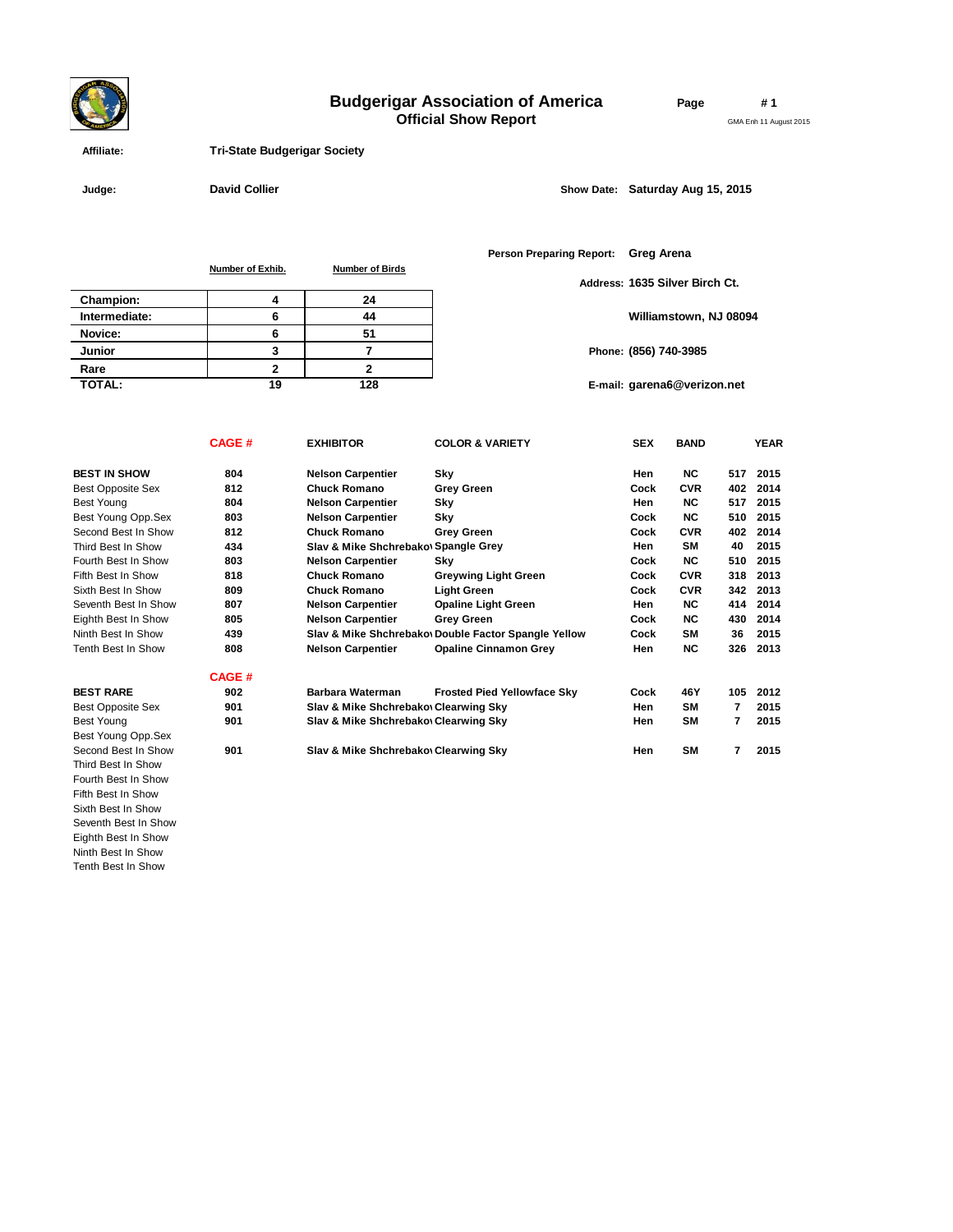# **Budgerigar Association of America**

**Official Show Report**

**Page # 1**

GMA Enh 11 August 2015

 **Affiliate: Tri-State Budgerigar Society**

Fifth Best In Show Sixth Best In Show Seventh Best In Show Eighth Best In Show Ninth Best In Show Tenth Best In Show

 **Judge: Show Date: David Collier** Show Date: Saturday Aug 15, 2015

**Number of Exhib. Number of Birds**

|               |    |     | Address: |
|---------------|----|-----|----------|
| Champion:     |    | 24  |          |
| Intermediate: |    | 44  |          |
| Novice:       |    | 51  |          |
| Junior        |    |     | Phone:   |
| Rare          |    |     |          |
| <b>TOTAL:</b> | 19 | 128 | E-mail:  |

**Person Preparing Report: Greg Arena**

**Address: 1635 Silver Birch Ct.**

**Williamstown, NJ 08094**

**(856) 740-3985**

**garena6@verizon.net**

|                           | <b>CAGE#</b> | <b>EXHIBITOR</b>                      | <b>COLOR &amp; VARIETY</b>                          | <b>SEX</b> | <b>BAND</b> |     | <b>YEAR</b> |
|---------------------------|--------------|---------------------------------------|-----------------------------------------------------|------------|-------------|-----|-------------|
| <b>BEST IN SHOW</b>       | 804          | <b>Nelson Carpentier</b>              | Sky                                                 | Hen        | NC.         | 517 | 2015        |
| <b>Best Opposite Sex</b>  | 812          | <b>Chuck Romano</b>                   | <b>Grey Green</b>                                   | Cock       | <b>CVR</b>  | 402 | 2014        |
| <b>Best Young</b>         | 804          | <b>Nelson Carpentier</b>              | Sky                                                 | Hen        | NC.         | 517 | 2015        |
| Best Young Opp.Sex        | 803          | <b>Nelson Carpentier</b>              | Sky                                                 | Cock       | <b>NC</b>   | 510 | 2015        |
| Second Best In Show       | 812          | <b>Chuck Romano</b>                   | <b>Grey Green</b>                                   | Cock       | <b>CVR</b>  | 402 | 2014        |
| Third Best In Show        | 434          | Slav & Mike Shchrebakov Spangle Grey  |                                                     | Hen        | <b>SM</b>   | 40  | 2015        |
| Fourth Best In Show       | 803          | <b>Nelson Carpentier</b>              | Sky                                                 | Cock       | <b>NC</b>   | 510 | 2015        |
| Fifth Best In Show        | 818          | <b>Chuck Romano</b>                   | <b>Greywing Light Green</b>                         | Cock       | <b>CVR</b>  | 318 | 2013        |
| Sixth Best In Show        | 809          | <b>Chuck Romano</b>                   | Light Green                                         | Cock       | <b>CVR</b>  | 342 | 2013        |
| Seventh Best In Show      | 807          | <b>Nelson Carpentier</b>              | <b>Opaline Light Green</b>                          | Hen        | <b>NC</b>   | 414 | 2014        |
| Eighth Best In Show       | 805          | <b>Nelson Carpentier</b>              | <b>Grey Green</b>                                   | Cock       | <b>NC</b>   | 430 | 2014        |
| Ninth Best In Show        | 439          |                                       | Slav & Mike Shchrebako Double Factor Spangle Yellow | Cock       | <b>SM</b>   | 36  | 2015        |
| <b>Tenth Best In Show</b> | 808          | <b>Nelson Carpentier</b>              | <b>Opaline Cinnamon Grey</b>                        | Hen        | NC.         | 326 | 2013        |
|                           | <b>CAGE#</b> |                                       |                                                     |            |             |     |             |
| <b>BEST RARE</b>          | 902          | Barbara Waterman                      | <b>Frosted Pied Yellowface Skv</b>                  | Cock       | 46Y         | 105 | 2012        |
| <b>Best Opposite Sex</b>  | 901          | Slav & Mike Shchrebakov Clearwing Sky |                                                     | Hen        | <b>SM</b>   | 7   | 2015        |
| Best Young                | 901          | Slav & Mike Shchrebakov Clearwing Sky |                                                     | Hen        | SΜ          | 7   | 2015        |
| Best Young Opp.Sex        |              |                                       |                                                     |            |             |     |             |
| Second Best In Show       | 901          | Slav & Mike Shchrebakov Clearwing Sky |                                                     | Hen        | SM          | 7   | 2015        |
| Third Best In Show        |              |                                       |                                                     |            |             |     |             |
| Fourth Best In Show       |              |                                       |                                                     |            |             |     |             |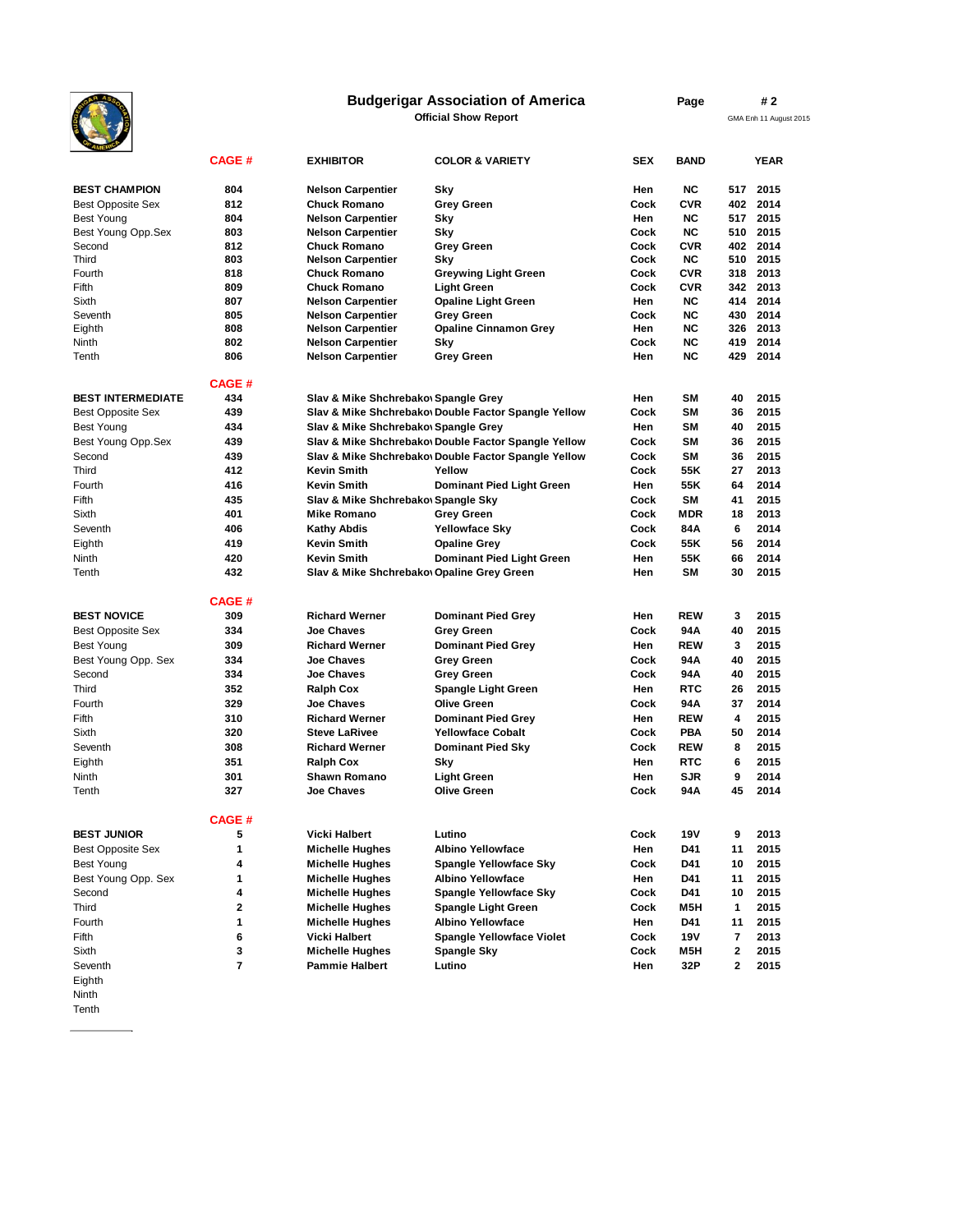## **Budgerigar Association of America**

**Official Show Report**

**Page # 2**

GMA Enh 11 August 2015

| <b>AMERIC</b>            |               |                                            |                                                      |      |             |     |             |
|--------------------------|---------------|--------------------------------------------|------------------------------------------------------|------|-------------|-----|-------------|
|                          | <b>CAGE #</b> | <b>EXHIBITOR</b>                           | <b>COLOR &amp; VARIETY</b>                           | SEX  | <b>BAND</b> |     | <b>YEAR</b> |
| <b>BEST CHAMPION</b>     | 804           | <b>Nelson Carpentier</b>                   | Sky                                                  | Hen  | <b>NC</b>   | 517 | 2015        |
| <b>Best Opposite Sex</b> | 812           | <b>Chuck Romano</b>                        | <b>Grey Green</b>                                    | Cock | <b>CVR</b>  | 402 | 2014        |
| <b>Best Young</b>        | 804           | <b>Nelson Carpentier</b>                   | Sky                                                  | Hen  | <b>NC</b>   | 517 | 2015        |
| Best Young Opp.Sex       | 803           | <b>Nelson Carpentier</b>                   | Sky                                                  | Cock | <b>NC</b>   | 510 | 2015        |
| Second                   | 812           | <b>Chuck Romano</b>                        | <b>Grey Green</b>                                    | Cock | <b>CVR</b>  | 402 | 2014        |
| Third                    | 803           | <b>Nelson Carpentier</b>                   | Sky                                                  | Cock | NC.         | 510 | 2015        |
| Fourth                   | 818           | <b>Chuck Romano</b>                        | <b>Greywing Light Green</b>                          | Cock | <b>CVR</b>  | 318 | 2013        |
| Fifth                    | 809           | <b>Chuck Romano</b>                        | <b>Light Green</b>                                   | Cock | <b>CVR</b>  | 342 | 2013        |
| Sixth                    | 807           | <b>Nelson Carpentier</b>                   | <b>Opaline Light Green</b>                           | Hen  | <b>NC</b>   | 414 | 2014        |
| Seventh                  | 805           | <b>Nelson Carpentier</b>                   | <b>Grev Green</b>                                    | Cock | <b>NC</b>   | 430 | 2014        |
| Eighth                   | 808           | <b>Nelson Carpentier</b>                   | <b>Opaline Cinnamon Grey</b>                         | Hen  | <b>NC</b>   | 326 | 2013        |
| Ninth                    | 802           | <b>Nelson Carpentier</b>                   | Sky                                                  | Cock | <b>NC</b>   | 419 | 2014        |
| Tenth                    | 806           | <b>Nelson Carpentier</b>                   | <b>Grey Green</b>                                    | Hen  | <b>NC</b>   | 429 | 2014        |
|                          | <b>CAGE#</b>  |                                            |                                                      |      |             |     |             |
| <b>BEST INTERMEDIATE</b> | 434           | Slav & Mike Shchrebakov Spangle Grey       |                                                      | Hen  | <b>SM</b>   | 40  | 2015        |
| <b>Best Opposite Sex</b> | 439           |                                            | Slav & Mike Shchrebakov Double Factor Spangle Yellow | Cock | SΜ          | 36  | 2015        |
|                          | 434           |                                            |                                                      |      | SΜ          | 40  | 2015        |
| <b>Best Young</b>        |               | Slav & Mike Shchrebakov Spangle Grey       |                                                      | Hen  |             |     |             |
| Best Young Opp.Sex       | 439           |                                            | Slav & Mike Shchrebakov Double Factor Spangle Yellow | Cock | <b>SM</b>   | 36  | 2015        |
| Second                   | 439           |                                            | Slav & Mike Shchrebakov Double Factor Spangle Yellow | Cock | SM          | 36  | 2015        |
| Third                    | 412           | <b>Kevin Smith</b>                         | Yellow                                               | Cock | 55K         | 27  | 2013        |
| Fourth                   | 416           | <b>Kevin Smith</b>                         | <b>Dominant Pied Light Green</b>                     | Hen  | 55K         | 64  | 2014        |
| Fifth                    | 435           | Slav & Mike Shchrebakov Spangle Sky        |                                                      | Cock | <b>SM</b>   | 41  | 2015        |
| Sixth                    | 401           | <b>Mike Romano</b>                         | <b>Grey Green</b>                                    | Cock | <b>MDR</b>  | 18  | 2013        |
| Seventh                  | 406           | <b>Kathy Abdis</b>                         | <b>Yellowface Sky</b>                                | Cock | 84A         | 6   | 2014        |
| Eighth                   | 419           | <b>Kevin Smith</b>                         | <b>Opaline Grey</b>                                  | Cock | 55K         | 56  | 2014        |
| Ninth                    | 420           | <b>Kevin Smith</b>                         | <b>Dominant Pied Light Green</b>                     | Hen  | 55K         | 66  | 2014        |
| Tenth                    | 432           | Slav & Mike Shchrebakov Opaline Grey Green |                                                      | Hen  | SM          | 30  | 2015        |
|                          | <b>CAGE#</b>  |                                            |                                                      |      |             |     |             |
| <b>BEST NOVICE</b>       | 309           | <b>Richard Werner</b>                      | <b>Dominant Pied Grey</b>                            | Hen  | <b>REW</b>  | 3   | 2015        |
| <b>Best Opposite Sex</b> | 334           | <b>Joe Chaves</b>                          | <b>Grey Green</b>                                    | Cock | 94 A        | 40  | 2015        |
| <b>Best Young</b>        | 309           | <b>Richard Werner</b>                      | <b>Dominant Pied Grey</b>                            | Hen  | <b>REW</b>  | 3   | 2015        |
| Best Young Opp. Sex      | 334           | <b>Joe Chaves</b>                          | <b>Grey Green</b>                                    | Cock | 94A         | 40  | 2015        |
| Second                   | 334           | <b>Joe Chaves</b>                          | <b>Grey Green</b>                                    | Cock | 94A         | 40  | 2015        |
| Third                    | 352           |                                            |                                                      | Hen  | <b>RTC</b>  | 26  | 2015        |
|                          |               | <b>Ralph Cox</b>                           | <b>Spangle Light Green</b>                           |      |             |     | 2014        |
| Fourth                   | 329           | <b>Joe Chaves</b>                          | <b>Olive Green</b>                                   | Cock | 94 A        | 37  |             |
| Fifth                    | 310           | <b>Richard Werner</b>                      | <b>Dominant Pied Grey</b>                            | Hen  | <b>REW</b>  | 4   | 2015        |
| Sixth                    | 320           | <b>Steve LaRivee</b>                       | <b>Yellowface Cobalt</b>                             | Cock | <b>PBA</b>  | 50  | 2014        |
| Seventh                  | 308           | <b>Richard Werner</b>                      | Dominant Pied Sky                                    | Cock | <b>REW</b>  | 8   | 2015        |
| Eighth                   | 351           | <b>Ralph Cox</b>                           | Sky                                                  | Hen  | <b>RTC</b>  | 6   | 2015        |
| Ninth                    | 301           | <b>Shawn Romano</b>                        | <b>Light Green</b>                                   | Hen  | <b>SJR</b>  | 9   | 2014        |
| Tenth                    | 327           | <b>Joe Chaves</b>                          | <b>Olive Green</b>                                   | Cock | 94A         | 45  | 2014        |
|                          | <b>CAGE#</b>  |                                            |                                                      |      |             |     |             |
| <b>BEST JUNIOR</b>       | 5             | <b>Vicki Halbert</b>                       | Lutino                                               | Cock | 19V         | 9   | 2013        |
| <b>Best Opposite Sex</b> | 1             | <b>Michelle Hughes</b>                     | <b>Albino Yellowface</b>                             | Hen  | D41         | 11  | 2015        |
| <b>Best Young</b>        | 4             | <b>Michelle Hughes</b>                     | <b>Spangle Yellowface Sky</b>                        | Cock | D41         | 10  | 2015        |
| Best Young Opp. Sex      | 1             | <b>Michelle Hughes</b>                     | <b>Albino Yellowface</b>                             | Hen  | D41         | 11  | 2015        |
| Second                   | 4             | <b>Michelle Hughes</b>                     | <b>Spangle Yellowface Sky</b>                        | Cock | D41         | 10  | 2015        |
| Third                    | 2             | <b>Michelle Hughes</b>                     | <b>Spangle Light Green</b>                           | Cock | M5H         | 1   | 2015        |
| Fourth                   | 1             | <b>Michelle Hughes</b>                     | <b>Albino Yellowface</b>                             | Hen  | D41         | 11  | 2015        |
| Fifth                    | 6             | <b>Vicki Halbert</b>                       | <b>Spangle Yellowface Violet</b>                     | Cock | 19V         | 7   | 2013        |
|                          | 3             |                                            |                                                      |      |             |     |             |
| Sixth                    |               | <b>Michelle Hughes</b>                     | Spangle Sky                                          | Cock | M5H         | 2   | 2015        |
| Seventh<br>Fichth        | 7             | <b>Pammie Halbert</b>                      | Lutino                                               | Hen  | 32P         | 2   | 2015        |
|                          |               |                                            |                                                      |      |             |     |             |

- Eighth Ninth
- Tenth